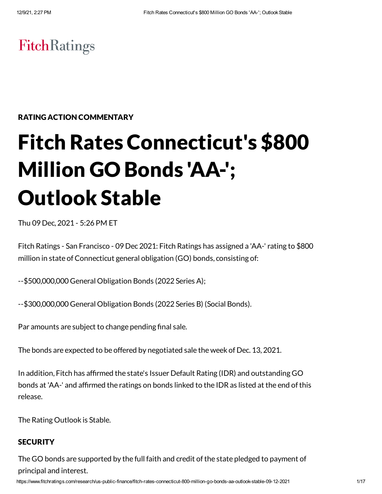## **FitchRatings**

### RATING ACTION COMMENTARY

# Fitch Rates Connecticut's \$800 Million GO Bonds 'AA-'; Outlook Stable

Thu 09 Dec, 2021 - 5:26 PM ET

Fitch Ratings - San Francisco - 09 Dec 2021: Fitch Ratings has assigned a 'AA-' rating to \$800 million in state of Connecticut general obligation (GO) bonds, consisting of:

--\$500,000,000 General Obligation Bonds (2022 Series A);

--\$300,000,000 General Obligation Bonds (2022 Series B) (Social Bonds).

Par amounts are subject to change pending final sale.

The bonds are expected to be offered by negotiated sale the week of Dec. 13, 2021.

In addition, Fitch has affirmed the state's Issuer Default Rating (IDR) and outstanding GO bonds at 'AA-' and affirmed the ratings on bonds linked to the IDR as listed at the end ofthis release.

The Rating Outlook is Stable.

#### **SECURITY**

The GO bonds are supported by the full faith and credit of the state pledged to payment of principal and interest.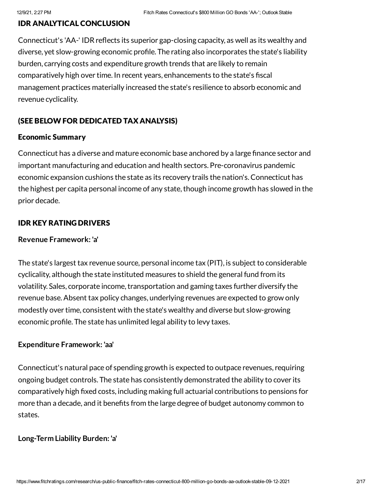#### IDR ANALYTICAL CONCLUSION

Connecticut's 'AA-' IDR reflects its superior gap-closing capacity, as well as its wealthy and diverse, yet slow-growing economic profile. The rating also incorporates the state's liability burden, carrying costs and expenditure growth trends that are likely to remain comparatively high over time. In recent years, enhancements to the state's fiscal management practices materially increased the state's resilience to absorb economic and revenue cyclicality.

#### (SEE BELOW FOR DEDICATED TAX ANALYSIS)

#### Economic Summary

Connecticut has a diverse and mature economic base anchored by a large finance sector and important manufacturing and education and health sectors. Pre-coronavirus pandemic economic expansion cushions the state as its recovery trails the nation's.Connecticut has the highest per capita personal income of any state, though income growth has slowed in the prior decade.

#### IDR KEY RATING DRIVERS

#### **Revenue Framework: 'a'**

The state's largest tax revenue source, personal income tax (PIT), is subject to considerable cyclicality, although the state instituted measures to shield the general fund from its volatility. Sales, corporate income, transportation and gaming taxes further diversify the revenue base.Absent tax policy changes, underlying revenues are expected to grow only modestly over time, consistent with the state's wealthy and diverse but slow-growing economic profile. The state has unlimited legal ability to levy taxes.

#### **Expenditure Framework: 'aa'**

Connecticut's natural pace of spending growth is expected to outpace revenues, requiring ongoing budget controls. The state has consistently demonstrated the ability to cover its comparatively high fixed costs, including making full actuarial contributions to pensions for more than a decade, and it benefits from the large degree of budget autonomy common to states.

#### **Long-Term Liability Burden: 'a'**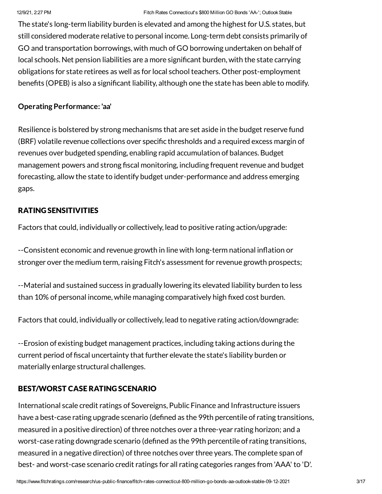The state's long-term liability burden is elevated and among the highest for U.S. states, but still considered moderate relative to personal income. Long-term debt consists primarily of GO and transportation borrowings, with much of GO borrowing undertaken on behalf of local schools. Net pension liabilities are a more significant burden, with the state carrying obligations for state retirees as well as for local school teachers. Other post-employment benefits (OPEB) is also a significant liability, although one the state has been able to modify.

#### **Operating Performance: 'aa'**

Resilience is bolstered by strong mechanisms that are set aside in the budget reserve fund (BRF) volatile revenue collections over specific thresholds and a required excess margin of revenues over budgeted spending, enabling rapid accumulation of balances. Budget management powers and strong fiscal monitoring, including frequent revenue and budget forecasting, allow the state to identify budget under-performance and address emerging gaps.

#### RATING SENSITIVITIES

Factors that could, individually or collectively, lead to positive rating action/upgrade:

--Consistent economic and revenue growth in line with long-term national inflation or stronger over the medium term, raising Fitch's assessment for revenue growth prospects;

--Material and sustained success in gradually lowering its elevated liability burden to less than 10% of personal income, while managing comparatively high fixed cost burden.

Factors that could, individually or collectively, lead to negative rating action/downgrade:

--Erosion of existing budget management practices, including taking actions during the current period of fiscal uncertainty that further elevate the state's liability burden or materially enlarge structural challenges.

#### BEST/WORST CASE RATING SCENARIO

International scale credit ratings of Sovereigns, Public Finance and Infrastructure issuers have a best-case rating upgrade scenario (defined as the 99th percentile of rating transitions, measured in a positive direction) of three notches over a three-year rating horizon; and a worst-case rating downgrade scenario (defined as the 99th percentile of rating transitions, measured in a negative direction) of three notches over three years. The complete span of best- and worst-case scenario credit ratings for all rating categories ranges from 'AAA' to 'D'.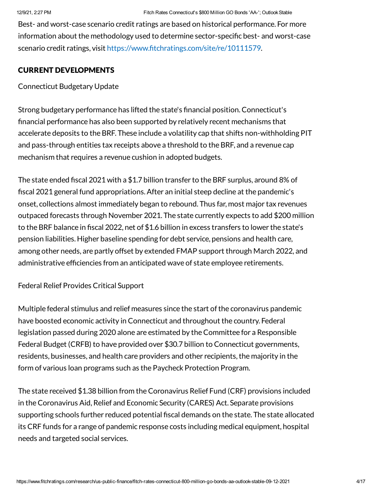Best- and worst-case scenario credit ratings are based on historical performance. For more information about the methodology used to determine sector-specific best- and worst-case scenario credit ratings, visit <https://www.fitchratings.com/site/re/10111579>.

#### CURRENT DEVELOPMENTS

Connecticut Budgetary Update

Strong budgetary performance has lifted the state's financial position.Connecticut's financial performance has also been supported by relatively recent mechanisms that accelerate deposits to the BRF. These include a volatility cap that shifts non-withholding PIT and pass-through entities tax receipts above a threshold to the BRF, and a revenue cap mechanism that requires a revenue cushion in adopted budgets.

The state ended fiscal 2021 with a \$1.7 billion transfer to the BRF surplus, around 8% of fiscal 2021 general fund appropriations.After an initial steep decline at the pandemic's onset, collections almost immediately began to rebound. Thus far, most major tax revenues outpaced forecasts through November 2021. The state currently expects to add \$200 million to the BRF balance in fiscal 2022, net of \$1.6 billion in excess transfers to lower the state's pension liabilities. Higher baseline spending for debt service, pensions and health care, among other needs, are partly offset by extended FMAP support through March 2022, and administrative efficiencies from an anticipated wave of state employee retirements.

Federal Relief Provides Critical Support

Multiple federal stimulus and relief measures since the start of the coronavirus pandemic have boosted economic activity in Connecticut and throughout the country. Federal legislation passed during 2020 alone are estimated by the Committee for a Responsible Federal Budget (CRFB) to have provided over \$30.7 billion to Connecticut governments, residents, businesses, and health care providers and other recipients, the majority in the form of various loan programs such as the Paycheck Protection Program.

The state received \$1.38 billion from theCoronavirus Relief Fund (CRF) provisions included in theCoronavirus Aid, Relief and Economic Security (CARES) Act. Separate provisions supporting schools further reduced potential fiscal demands on the state. The state allocated its CRF funds for a range of pandemic response costs including medical equipment, hospital needs and targeted social services.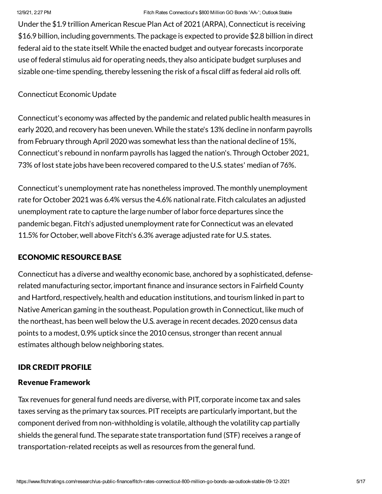Under the \$1.9 trillion American Rescue Plan Act of 2021 (ARPA), Connecticut is receiving \$16.9 billion, including governments. The package is expected to provide \$2.8 billion in direct federal aid to the state itself.While the enacted budget and outyear forecasts incorporate use of federal stimulus aid for operating needs, they also anticipate budget surpluses and sizable one-time spending, thereby lessening the risk of a fiscal cliff as federal aid rolls off.

#### Connecticut Economic Update

Connecticut's economy was affected by the pandemic and related public health measures in early 2020, and recovery has been uneven.While the state's 13% decline in nonfarm payrolls from February through April 2020 was somewhat less than the national decline of 15%, Connecticut's rebound in nonfarm payrolls has lagged the nation's. Through October 2021, 73% of lost state jobs have been recovered compared to the U.S. states' median of 76%.

Connecticut's unemployment rate has nonetheless improved. The monthly unemployment rate for October 2021 was 6.4% versus the 4.6% national rate. Fitch calculates an adjusted unemployment rate to capture the large number oflabor force departures since the pandemic began. Fitch's adjusted unemployment rate forConnecticut was an elevated 11.5% for October, well above Fitch's 6.3% average adjusted rate for U.S. states.

#### ECONOMIC RESOURCE BASE

Connecticut has a diverse and wealthy economic base, anchored by a sophisticated, defenserelated manufacturing sector, important finance and insurance sectors in Fairfield County and Hartford, respectively, health and education institutions, and tourism linked in part to NativeAmerican gaming in the southeast. Population growth in Connecticut, like much of the northeast, has been well below the U.S. average in recent decades. 2020 census data points to a modest, 0.9% uptick since the 2010 census, stronger than recent annual estimates although below neighboring states.

#### IDR CREDIT PROFILE

#### Revenue Framework

Tax revenues for general fund needs are diverse, with PIT, corporate income tax and sales taxes serving as the primary tax sources. PIT receipts are particularly important, but the component derived from non-withholding is volatile, although the volatility cap partially shields the general fund. The separate state transportation fund (STF) receives a range of transportation-related receipts as well as resources from the general fund.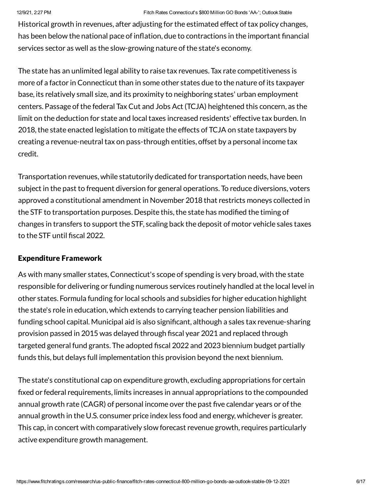Historical growth in revenues, after adjusting for the estimated effect of tax policy changes, has been below the national pace of inflation, due to contractions in the important financial services sector as well as the slow-growing nature of the state's economy.

The state has an unlimited legal ability to raise tax revenues. Tax rate competitiveness is more of a factor in Connecticut than in some other states due to the nature of its taxpayer base, its relatively small size, and its proximity to neighboring states' urban employment centers. Passage of the federal Tax Cut and Jobs Act (TCJA) heightened this concern, as the limit on the deduction for state and local taxes increased residents' effective tax burden. In 2018,the state enacted legislation to mitigate the effects of TCJA on state taxpayers by creating a revenue-neutral tax on pass-through entities, offset by a personal income tax credit.

Transportation revenues, while statutorily dedicated for transportation needs, have been subject in the past to frequent diversion for general operations. To reduce diversions, voters approved a constitutional amendment in November 2018 that restricts moneys collected in the STF to transportation purposes. Despite this, the state has modified the timing of changes in transfers to support the STF, scaling back the deposit of motor vehicle sales taxes to the STF until fiscal 2022.

#### Expenditure Framework

As with many smaller states, Connecticut's scope of spending is very broad, with the state responsible for delivering or funding numerous services routinely handled at the local level in other states. Formula funding for local schools and subsidies for higher education highlight the state's role in education, which extends to carrying teacher pension liabilities and funding school capital. Municipal aid is also significant, although a sales tax revenue-sharing provision passed in 2015 was delayed through fiscal year 2021 and replaced through targeted general fund grants. The adopted fiscal 2022 and 2023 biennium budget partially funds this, but delays full implementation this provision beyond the next biennium.

The state's constitutional cap on expenditure growth, excluding appropriations for certain fixed or federal requirements, limits increases in annual appropriations to the compounded annual growth rate (CAGR) of personal income over the past five calendar years or of the annual growth in the U.S. consumer price index less food and energy, whichever is greater. This cap, in concert with comparatively slow forecast revenue growth, requires particularly active expenditure growth management.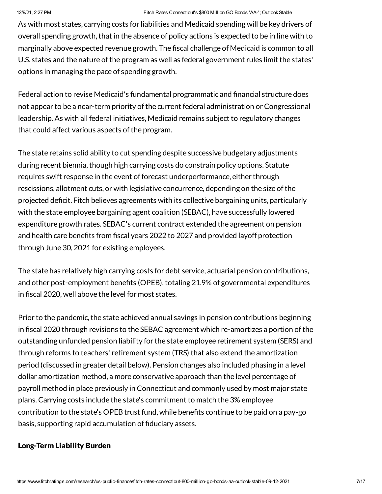#### 12/9/21, 2:27 PM Fitch Rates Connecticut's \$800 Million GO Bonds 'AA-'; OutlookStable

As with most states, carrying costs for liabilities and Medicaid spending will be key drivers of overall spending growth, that in the absence of policy actions is expected to be in line with to marginally above expected revenue growth. The fiscal challenge of Medicaid is common to all U.S. states and the nature of the program as well as federal government rules limit the states' options in managing the pace of spending growth.

Federal action to revise Medicaid's fundamental programmatic and financial structure does not appear to be a near-term priority of the current federal administration or Congressional leadership.As with all federal initiatives, Medicaid remains subject to regulatory changes that could affect various aspects of the program.

The state retains solid ability to cut spending despite successive budgetary adjustments during recent biennia, though high carrying costs do constrain policy options. Statute requires swift response in the event of forecast underperformance, either through rescissions, allotment cuts, or with legislative concurrence, depending on the size of the projected deficit. Fitch believes agreements with its collective bargaining units, particularly with the state employee bargaining agent coalition (SEBAC), have successfully lowered expenditure growth rates. SEBAC's current contract extended the agreement on pension and health care benefits from fiscal years 2022 to 2027 and provided layoff protection through June 30, 2021 for existing employees.

The state has relatively high carrying costs for debt service, actuarial pension contributions, and other post-employment benefits (OPEB), totaling 21.9% of governmental expenditures in fiscal 2020, well above the level for most states.

Prior to the pandemic, the state achieved annual savings in pension contributions beginning in fiscal 2020 through revisions to the SEBAC agreement which re-amortizes a portion ofthe outstanding unfunded pension liability for the state employee retirement system (SERS) and through reforms to teachers' retirement system (TRS) that also extend the amortization period (discussed in greater detail below). Pension changes also included phasing in a level dollar amortization method, a more conservative approach than the level percentage of payroll method in place previously in Connecticut and commonly used by most major state plans.Carrying costs include the state's commitment to match the 3% employee contribution to the state's OPEB trust fund, while benefits continue to be paid on a pay-go basis, supporting rapid accumulation of fiduciary assets.

#### Long-Term Liability Burden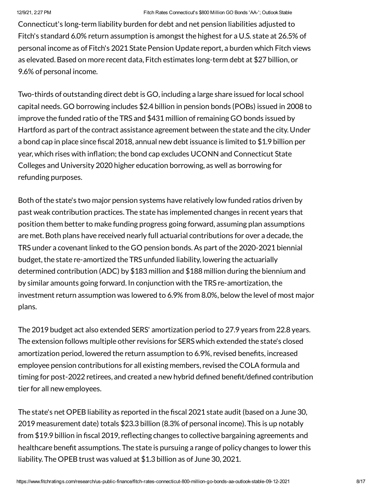Connecticut's long-term liability burden for debt and net pension liabilities adjusted to Fitch's standard 6.0% return assumption is amongst the highest for a U.S. state at 26.5% of personal income as of Fitch's 2021 State Pension Update report, a burden which Fitch views as elevated. Based on more recent data, Fitch estimates long-term debt at \$27 billion, or 9.6% of personal income.

Two-thirds of outstanding direct debt is GO, including a large share issued for local school capital needs. GO borrowing includes \$2.4 billion in pension bonds (POBs) issued in 2008 to improve the funded ratio of the TRS and \$431 million of remaining GO bonds issued by Hartford as part of the contract assistance agreement between the state and the city. Under a bond cap in place since fiscal 2018, annual new debt issuance is limited to \$1.9 billion per year, which rises with inflation; the bond cap excludes UCONN and Connecticut State Colleges and University 2020 higher education borrowing, as well as borrowing for refunding purposes.

Both of the state's two major pension systems have relatively low funded ratios driven by past weak contribution practices. The state has implemented changes in recent years that position them better to make funding progress going forward, assuming plan assumptions are met. Both plans have received nearly full actuarial contributions for over a decade, the TRS under a covenant linked to the GO pension bonds.As part ofthe 2020-2021 biennial budget, the state re-amortized the TRS unfunded liability, lowering the actuarially determined contribution (ADC) by \$183 million and \$188 million during the biennium and by similar amounts going forward. In conjunction with the TRS re-amortization,the investment return assumption was lowered to 6.9% from 8.0%, below the level of most major plans.

The 2019 budget act also extended SERS' amortization period to 27.9 years from 22.8 years. The extension follows multiple other revisions for SERS which extended the state's closed amortization period, lowered the return assumption to 6.9%, revised benefits, increased employee pension contributions for all existing members, revised theCOLA formula and timing for post-2022 retirees, and created a new hybrid defined benefit/defined contribution tier for all new employees.

The state's net OPEB liability as reported in the fiscal 2021 state audit (based on a June 30, 2019 measurement date) totals \$23.3 billion (8.3% of personal income). This is up notably from \$19.9 billion in fiscal 2019, reflecting changes to collective bargaining agreements and healthcare benefit assumptions. The state is pursuing a range of policy changes to lower this liability. The OPEB trust was valued at \$1.3 billion as of June 30, 2021.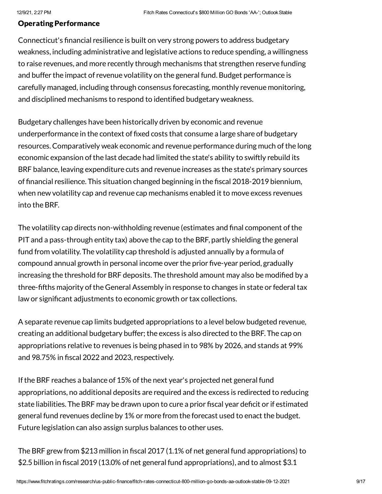#### Operating Performance

Connecticut's financial resilience is built on very strong powers to address budgetary weakness, including administrative and legislative actions to reduce spending, a willingness to raise revenues, and more recently through mechanisms that strengthen reserve funding and buffer the impact of revenue volatility on the general fund. Budget performance is carefully managed, including through consensus forecasting, monthly revenue monitoring, and disciplined mechanisms to respond to identified budgetary weakness.

Budgetary challenges have been historically driven by economic and revenue underperformance in the context of fixed costs that consume a large share of budgetary resources.Comparatively weak economic and revenue performance during much ofthe long economic expansion of the last decade had limited the state's ability to swiftly rebuild its BRF balance, leaving expenditure cuts and revenue increases as the state's primary sources of financial resilience. This situation changed beginning in the fiscal 2018-2019 biennium, when new volatility cap and revenue cap mechanisms enabled it to move excess revenues into the BRF.

The volatility cap directs non-withholding revenue (estimates and final component of the PIT and a pass-through entity tax) above the cap to the BRF, partly shielding the general fund from volatility. The volatility cap threshold is adjusted annually by a formula of compound annual growth in personal income over the prior five-year period, gradually increasing the threshold for BRF deposits. The threshold amount may also be modified by a three-fifths majority of the General Assembly in response to changes in state or federal tax law or significant adjustments to economic growth or tax collections.

A separate revenue cap limits budgeted appropriations to a level below budgeted revenue, creating an additional budgetary buffer; the excess is also directed to the BRF. The cap on appropriations relative to revenues is being phased in to 98% by 2026, and stands at 99% and 98.75% in fiscal 2022 and 2023, respectively.

If the BRF reaches a balance of 15% of the next year's projected net general fund appropriations, no additional deposits are required and the excess is redirected to reducing state liabilities. The BRF may be drawn upon to cure a prior fiscal year deficit or if estimated general fund revenues decline by 1% or more from the forecast used to enact the budget. Future legislation can also assign surplus balances to other uses.

The BRF grew from \$213 million in fiscal 2017 (1.1% of net general fund appropriations) to \$2.5 billion in fiscal 2019 (13.0% of net general fund appropriations), and to almost \$3.1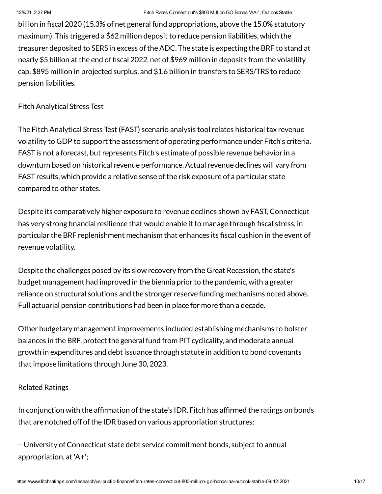billion in fiscal 2020 (15.3% of net general fund appropriations, above the 15.0% statutory maximum). This triggered a \$62 million deposit to reduce pension liabilities, which the treasurer deposited to SERS in excess of the ADC. The state is expecting the BRF to stand at nearly \$5 billion at the end of fiscal 2022, net of \$969 million in deposits from the volatility cap, \$895 million in projected surplus, and \$1.6 billion in transfers to SERS/TRS to reduce pension liabilities.

Fitch Analytical Stress Test

The Fitch Analytical Stress Test (FAST) scenario analysis tool relates historical tax revenue volatility to GDP to support the assessment of operating performance under Fitch's criteria. FAST is not a forecast, but represents Fitch's estimate of possible revenue behavior in a downturn based on historical revenue performance.Actual revenue declines will vary from FAST results, which provide a relative sense of the risk exposure of a particular state compared to other states.

Despite its comparatively higher exposure to revenue declines shown by FAST, Connecticut has very strong financial resilience that would enable it to manage through fiscal stress, in particular the BRF replenishment mechanism that enhances its fiscal cushion in the event of revenue volatility.

Despite the challenges posed by its slow recovery from the Great Recession, the state's budget management had improved in the biennia prior to the pandemic, with a greater reliance on structural solutions and the stronger reserve funding mechanisms noted above. Full actuarial pension contributions had been in place for more than a decade.

Other budgetary management improvements included establishing mechanisms to bolster balances in the BRF, protect the general fund from PIT cyclicality, and moderate annual growth in expenditures and debt issuance through statute in addition to bond covenants that impose limitations through June 30, 2023.

#### Related Ratings

In conjunction with the affirmation of the state's IDR, Fitch has affirmed the ratings on bonds that are notched off of the IDR based on various appropriation structures:

--University ofConnecticut state debt service commitment bonds, subject to annual appropriation, at 'A+';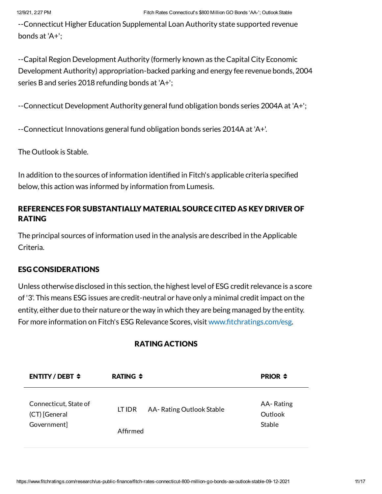--Connecticut Higher Education Supplemental Loan Authority state supported revenue bonds at 'A+';

--Capital Region Development Authority (formerly known as theCapital City Economic Development Authority) appropriation-backed parking and energy fee revenue bonds, 2004 series B and series 2018 refunding bonds at 'A+';

--Connecticut Development Authority general fund obligation bonds series 2004A at 'A+';

--Connecticut Innovations general fund obligation bonds series 2014A at 'A+'.

The Outlook is Stable.

In addition to the sources of information identified in Fitch's applicable criteria specified below, this action was informed by information from Lumesis.

#### REFERENCES FOR SUBSTANTIALLY MATERIAL SOURCE CITED AS KEY DRIVER OF RATING

The principal sources of information used in the analysis are described in the Applicable Criteria.

#### ESG CONSIDERATIONS

Unless otherwise disclosed in this section, the highest level of ESG credit relevance is a score of'3'. This means ESG issues are credit-neutral or have only a minimal credit impact on the entity, either due to their nature or the way in which they are being managed by the entity. For more information on Fitch's ESG Relevance Scores, visit [www.fitchratings.com/esg.](http://www.fitchratings.com/esg)

| ENTITY / DEBT $\div$                                  | RATING $\div$      |                          | <b>PRIOR <math>\div</math></b> |
|-------------------------------------------------------|--------------------|--------------------------|--------------------------------|
| Connecticut, State of<br>(CT) [General<br>Government] | LT IDR<br>Affirmed | AA-Rating Outlook Stable | AA-Rating<br>Outlook<br>Stable |

#### RATING ACTIONS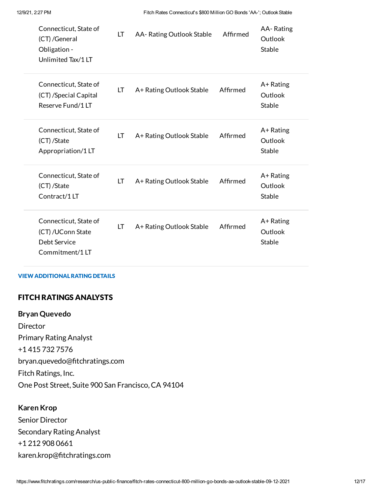| Connecticut, State of<br>(CT) /General<br>Obligation -<br>Unlimited Tax/1 LT | LT  | AA-Rating Outlook Stable | Affirmed | AA-Rating<br><b>Outlook</b><br>Stable |
|------------------------------------------------------------------------------|-----|--------------------------|----------|---------------------------------------|
| Connecticut, State of<br>(CT) /Special Capital<br>Reserve Fund/1 LT          | LT  | A+ Rating Outlook Stable | Affirmed | A+ Rating<br>Outlook<br>Stable        |
| Connecticut, State of<br>(CT)/State<br>Appropriation/1 LT                    | LT  | A+ Rating Outlook Stable | Affirmed | A+ Rating<br>Outlook<br>Stable        |
| Connecticut, State of<br>(CT)/State<br>Contract/1LT                          | LT. | A+ Rating Outlook Stable | Affirmed | A+ Rating<br>Outlook<br>Stable        |
| Connecticut, State of<br>(CT)/UConn State<br>Debt Service<br>Commitment/1LT  | LT  | A+ Rating Outlook Stable | Affirmed | A+ Rating<br>Outlook<br>Stable        |

#### VIEW ADDITIONALRATING DETAILS

#### FITCH RATINGS ANALYSTS

#### **Bryan Quevedo**

**Director** Primary Rating Analyst +1 415 732 7576 bryan.quevedo@fitchratings.com Fitch Ratings, Inc. One Post Street, Suite 900 San Francisco,CA 94104

### **Karen Krop**

Senior Director Secondary Rating Analyst +1 212 908 0661 karen.krop@fitchratings.com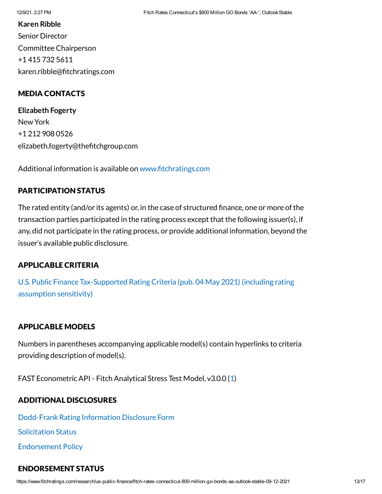**Karen Ribble** Senior Director CommitteeChairperson +1 415 732 5611 karen.ribble@fitchratings.com

#### MEDIA CONTACTS

**Elizabeth Fogerty** New York +1 212 908 0526 elizabeth.fogerty@thefitchgroup.com

Additional information is available on [www.fitchratings.com](http://www.fitchratings.com/)

#### PARTICIPATION STATUS

The rated entity (and/or its agents) or, in the case of structured finance, one or more of the transaction parties participated in the rating process except that the following issuer(s), if any, did not participate in the rating process, or provide additional information, beyond the issuer's available public disclosure.

#### APPLICABLE CRITERIA

U.S. Public Finance [Tax-Supported](https://www.fitchratings.com/research/us-public-finance/us-public-finance-tax-supported-rating-criteria-04-05-2021) Rating Criteria (pub. 04 May 2021) (including rating assumption sensitivity)

#### APPLICABLE MODELS

Numbers in parentheses accompanying applicable model(s) contain hyperlinks to criteria providing description of model(s).

FAST EconometricAPI - Fitch Analytical Stress Test Model, v3.0.0 ([1\)](https://www.fitchratings.com/research/us-public-finance/us-public-finance-tax-supported-rating-criteria-04-05-2021)

#### ADDITIONAL DISCLOSURES

[Dodd-Frank](https://www.fitchratings.com/research/us-public-finance/fitch-rates-connecticut-800-million-go-bonds-aa-outlook-stable-09-12-2021/dodd-frank-disclosure) Rating Information Disclosure Form

Solicitation Status

[Endorsement](#page-15-0) Policy

#### ENDORSEMENT STATUS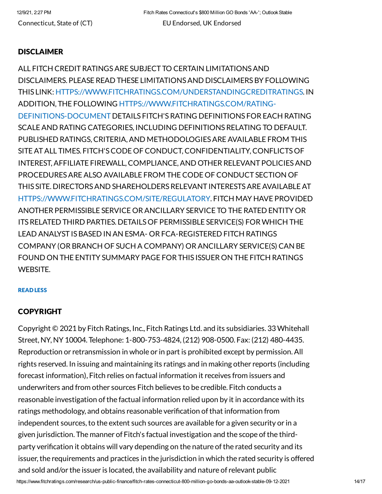Connecticut, State of (CT) EU Endorsed, UK Endorsed

### DISCLAIMER

ALL FITCH CREDIT RATINGS ARE SUBJECT TO CERTAIN LIMITATIONS AND DISCLAIMERS. PLEASE READ THESE LIMITATIONSAND DISCLAIMERSBY FOLLOWING THIS LINK: [HTTPS://WWW.FITCHRATINGS.COM/UNDERSTANDINGCREDITRATINGS.](https://www.fitchratings.com/UNDERSTANDINGCREDITRATINGS) IN ADDITION, THE FOLLOWING [HTTPS://WWW.FITCHRATINGS.COM/RATING-](https://www.fitchratings.com/rating-definitions-document)DEFINITIONS-DOCUMENT DETAILS FITCH'SRATING DEFINITIONS FOR EACH RATING SCALE AND RATING CATEGORIES, INCLUDING DEFINITIONS RELATING TO DEFAULT. PUBLISHED RATINGS,CRITERIA,AND METHODOLOGIESAREAVAILABLE FROM THIS SITEATALL TIMES. FITCH'SCODE OF CONDUCT,CONFIDENTIALITY,CONFLICTSOF INTEREST,AFFILIATE FIREWALL,COMPLIANCE,AND OTHER RELEVANT POLICIESAND PROCEDURESAREALSO AVAILABLE FROM THECODE OF CONDUCT SECTION OF THIS SITE. DIRECTORSAND SHAREHOLDERSRELEVANT INTERESTSAREAVAILABLEAT [HTTPS://WWW.FITCHRATINGS.COM/SITE/REGULATORY](https://www.fitchratings.com/site/regulatory). FITCH MAY HAVE PROVIDED ANOTHER PERMISSIBLE SERVICE ORANCILLARY SERVICE TO THE RATED ENTITY OR ITSRELATED THIRD PARTIES. DETAILSOF PERMISSIBLE SERVICE(S) FORWHICH THE LEAD ANALYST ISBASED IN AN ESMA- OR FCA-REGISTERED FITCH RATINGS COMPANY (OR BRANCH OF SUCH A COMPANY) ORANCILLARY SERVICE(S) CAN BE FOUND ON THE ENTITY SUMMARY PAGE FOR THIS ISSUER ON THE FITCH RATINGS WEBSITE.

#### READ LESS

#### COPYRIGHT

Copyright © 2021 by Fitch Ratings, Inc., Fitch Ratings Ltd. and its subsidiaries. 33 Whitehall Street, NY, NY 10004. Telephone: 1-800-753-4824, (212) 908-0500. Fax: (212) 480-4435. Reproduction or retransmission in whole or in part is prohibited except by permission.All rights reserved. In issuing and maintaining its ratings and in making other reports (including forecast information), Fitch relies on factual information it receives from issuers and underwriters and from other sources Fitch believes to be credible. Fitch conducts a reasonable investigation of the factual information relied upon by it in accordance with its ratings methodology, and obtains reasonable verification ofthat information from independent sources, to the extent such sources are available for a given security or in a given jurisdiction. The manner of Fitch's factual investigation and the scope ofthe thirdparty verification it obtains will vary depending on the nature ofthe rated security and its issuer, the requirements and practices in the jurisdiction in which the rated security is offered and sold and/or the issuer is located, the availability and nature of relevant public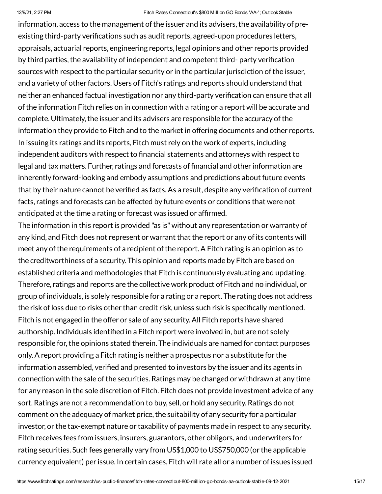information, access to the management of the issuer and its advisers, the availability of preexisting third-party verifications such as audit reports, agreed-upon procedures letters, appraisals, actuarial reports, engineering reports, legal opinions and other reports provided by third parties, the availability of independent and competent third- party verification sources with respect to the particular security or in the particular jurisdiction of the issuer, and a variety of other factors. Users of Fitch's ratings and reports should understand that neither an enhanced factual investigation nor any third-party verification can ensure that all ofthe information Fitch relies on in connection with a rating or a report will be accurate and complete. Ultimately, the issuer and its advisers are responsible for the accuracy of the information they provide to Fitch and to the market in offering documents and other reports. In issuing its ratings and its reports, Fitch must rely on the work of experts, including independent auditors with respect to financial statements and attorneys with respect to legal and tax matters. Further, ratings and forecasts of financial and other information are inherently forward-looking and embody assumptions and predictions about future events that by their nature cannot be verified as facts.As a result, despite any verification of current facts, ratings and forecasts can be affected by future events or conditions that were not anticipated at the time a rating or forecast was issued or affirmed.

The information in this report is provided "as is" without any representation or warranty of any kind, and Fitch does not represent or warrant that the report or any of its contents will meet any of the requirements of a recipient of the report. A Fitch rating is an opinion as to the creditworthiness of a security. This opinion and reports made by Fitch are based on established criteria and methodologies that Fitch is continuously evaluating and updating. Therefore, ratings and reports are the collective work product of Fitch and no individual, or group of individuals, is solely responsible for a rating or a report. The rating does not address the risk of loss due to risks other than credit risk, unless such risk is specifically mentioned. Fitch is not engaged in the offer or sale of any security.All Fitch reports have shared authorship. Individuals identified in a Fitch report were involved in, but are not solely responsible for, the opinions stated therein. The individuals are named for contact purposes only.A report providing a Fitch rating is neither a prospectus nor a substitute for the information assembled, verified and presented to investors by the issuer and its agents in connection with the sale of the securities. Ratings may be changed or withdrawn at any time for any reason in the sole discretion of Fitch. Fitch does not provide investment advice of any sort. Ratings are not a recommendation to buy, sell, or hold any security. Ratings do not comment on the adequacy of market price, the suitability of any security for a particular investor, or the tax-exempt nature or taxability of payments made in respect to any security. Fitch receives fees from issuers, insurers, guarantors, other obligors, and underwriters for rating securities. Such fees generally vary from US\$1,000 to US\$750,000 (or the applicable currency equivalent) per issue. In certain cases, Fitch will rate all or a number of issues issued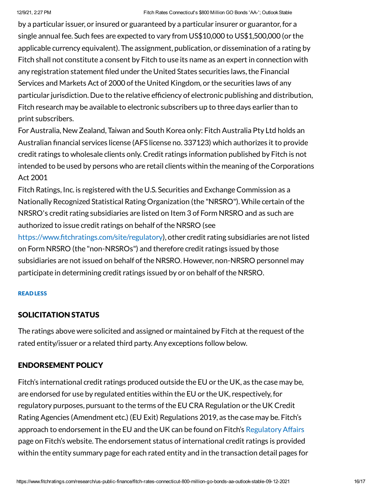by a particular issuer, or insured or guaranteed by a particular insurer or guarantor,for a single annual fee. Such fees are expected to vary from US\$10,000 to US\$1,500,000 (or the applicable currency equivalent). The assignment, publication, or dissemination of a rating by Fitch shall not constitute a consent by Fitch to use its name as an expert in connection with any registration statement filed under the United States securities laws, the Financial Services and Markets Act of 2000 of the United Kingdom, or the securities laws of any particular jurisdiction. Due to the relative efficiency of electronic publishing and distribution, Fitch research may be available to electronic subscribers up to three days earlier than to print subscribers.

For Australia, New Zealand, Taiwan and South Korea only: Fitch Australia Pty Ltd holds an Australian financial services license (AFS license no. 337123) which authorizes it to provide credit ratings to wholesale clients only.Credit ratings information published by Fitch is not intended to be used by persons who are retail clients within the meaning of the Corporations Act 2001

Fitch Ratings, Inc. is registered with the U.S. Securities and Exchange Commission as a Nationally Recognized Statistical Rating Organization (the "NRSRO").While certain ofthe NRSRO's credit rating subsidiaries are listed on Item 3 of Form NRSRO and as such are authorized to issue credit ratings on behalf of the NRSRO (see [https://www.fitchratings.com/site/regulatory\)](https://www.fitchratings.com/site/regulatory), other credit rating subsidiaries are not listed on Form NRSRO (the "non-NRSROs") and therefore credit ratings issued by those subsidiaries are not issued on behalf of the NRSRO. However, non-NRSRO personnel may participate in determining credit ratings issued by or on behalf ofthe NRSRO.

#### READ LESS

#### SOLICITATION STATUS

The ratings above were solicited and assigned or maintained by Fitch at the request of the rated entity/issuer or a related third party.Any exceptions follow below.

#### <span id="page-15-0"></span>ENDORSEMENT POLICY

Fitch's international credit ratings produced outside the EU or the UK, as the case may be, are endorsed for use by regulated entities within the EU or the UK, respectively,for regulatory purposes, pursuant to the terms of the EU CRA Regulation or the UK Credit Rating Agencies (Amendment etc.) (EU Exit) Regulations 2019, as the case may be. Fitch's approach to endorsement in the EU and the UK can be found on Fitch's [Regulatory](https://www.fitchratings.com/regulatory) Affairs page on Fitch's website. The endorsement status ofinternational credit ratings is provided within the entity summary page for each rated entity and in the transaction detail pages for